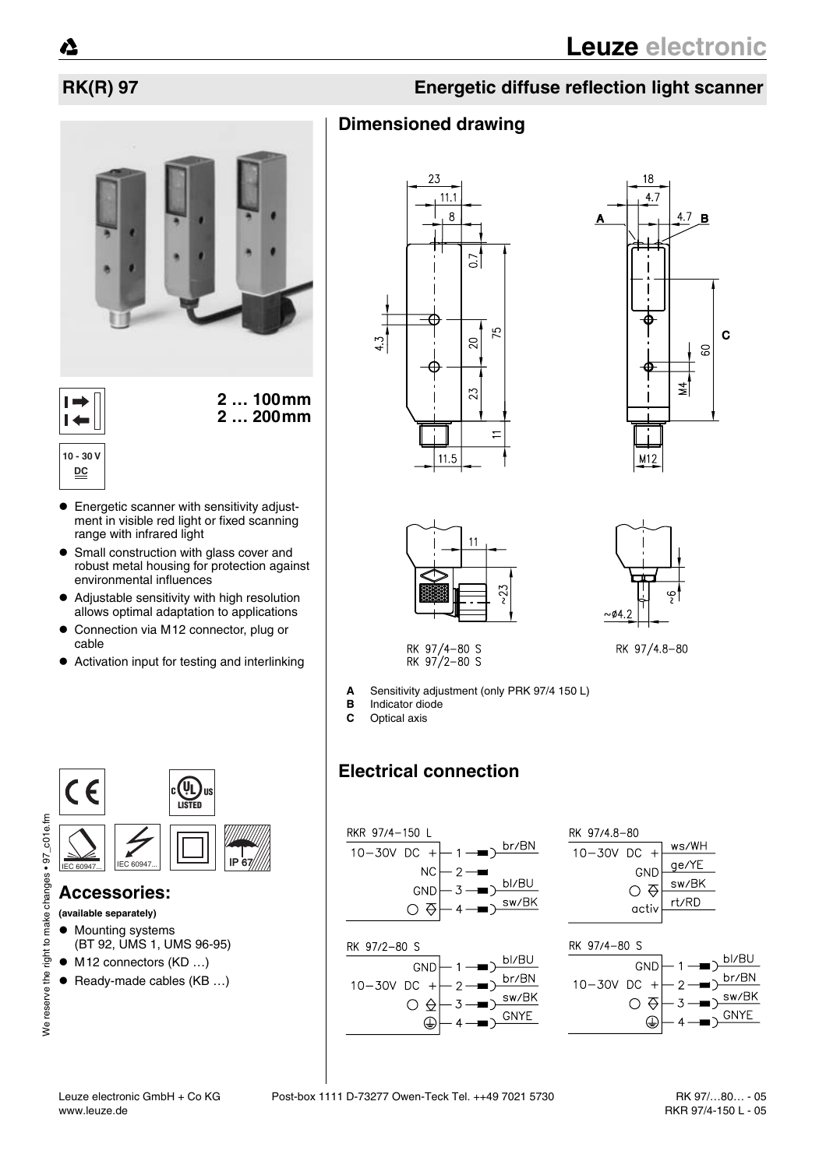

**2 … 100mm 2 … 200mm**



- Energetic scanner with sensitivity adjustment in visible red light or fixed scanning range with infrared light
- Small construction with glass cover and robust metal housing for protection against environmental influences
- ! Adjustable sensitivity with high resolution allows optimal adaptation to applications
- ! Connection via M12 connector, plug or cable
- Activation input for testing and interlinking



### **Accessories:**

- **(available separately)**
- $\bullet$  Mounting systems (BT 92, UMS 1, UMS 96-95)
- $\bullet$  M12 connectors (KD ...)
- $\bullet$  Ready-made cables (KB ...)

## **RK(R) 97 Energetic diffuse reflection light scanner**

## **Dimensioned drawing**









RK 97/4-80 S<br>RK 97/2-80 S

- **A** Sensitivity adjustment (only PRK 97/4 150 L)
- **B** Indicator diode
- **C** Optical axis

## **Electrical connection**